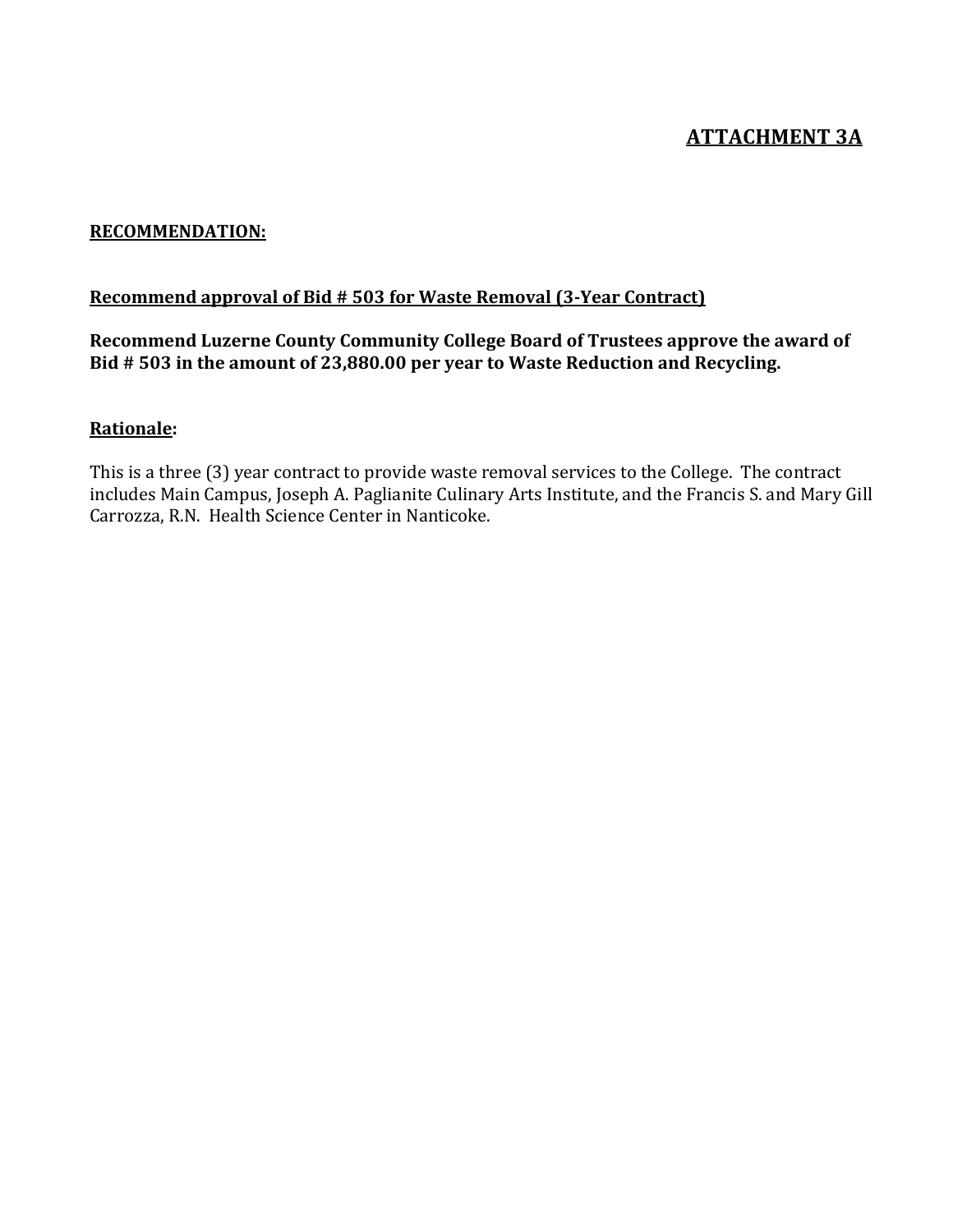## **ATTACHMENT 3A**

#### **RECOMMENDATION:**

#### **Recommend approval of Bid # 503 for Waste Removal (3-Year Contract)**

### Recommend Luzerne County Community College Board of Trustees approve the award of Bid # 503 in the amount of 23,880.00 per year to Waste Reduction and Recycling.

### **Rationale:**

This is a three (3) year contract to provide waste removal services to the College. The contract includes Main Campus, Joseph A. Paglianite Culinary Arts Institute, and the Francis S. and Mary Gill Carrozza, R.N. Health Science Center in Nanticoke.